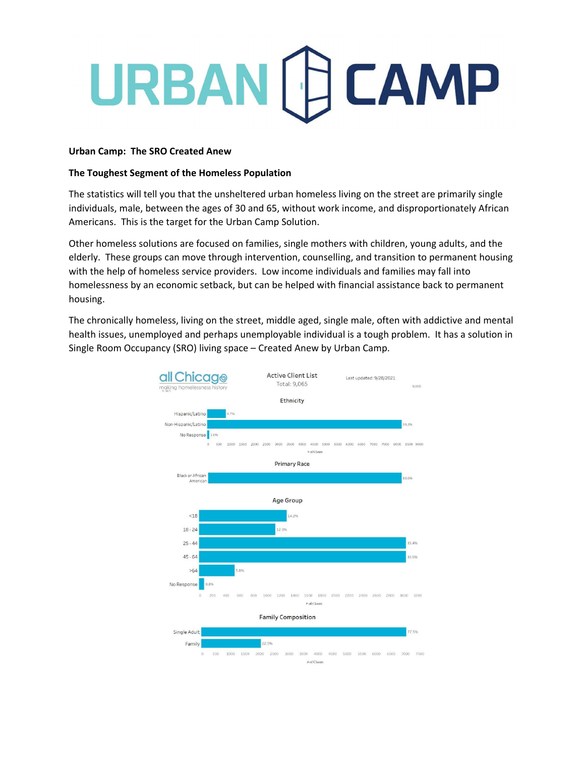# URBAN | F CAMP

#### **Urban Camp: The SRO Created Anew**

#### **The Toughest Segment of the Homeless Population**

The statistics will tell you that the unsheltered urban homeless living on the street are primarily single individuals, male, between the ages of 30 and 65, without work income, and disproportionately African Americans. This is the target for the Urban Camp Solution.

Other homeless solutions are focused on families, single mothers with children, young adults, and the elderly. These groups can move through intervention, counselling, and transition to permanent housing with the help of homeless service providers. Low income individuals and families may fall into homelessness by an economic setback, but can be helped with financial assistance back to permanent housing.

The chronically homeless, living on the street, middle aged, single male, often with addictive and mental health issues, unemployed and perhaps unemployable individual is a tough problem. It has a solution in Single Room Occupancy (SRO) living space – Created Anew by Urban Camp.

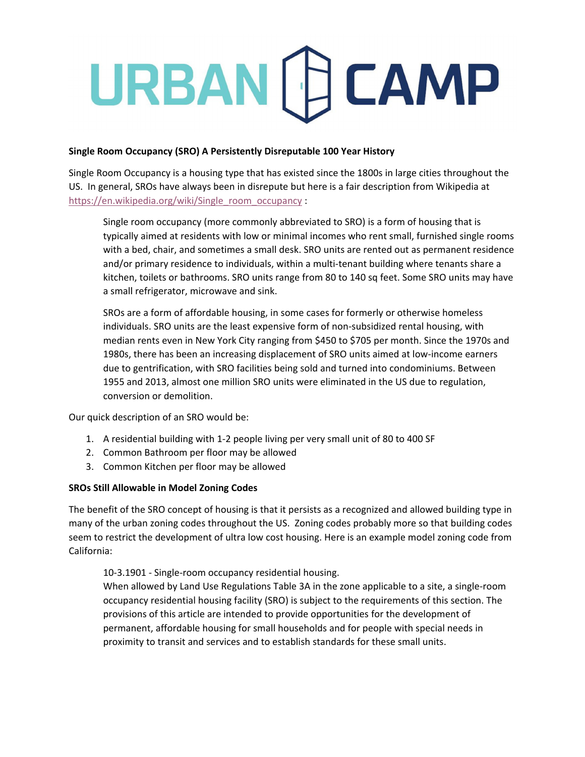# URBAN [C] CAMP

### **Single Room Occupancy (SRO) A Persistently Disreputable 100 Year History**

Single Room Occupancy is a housing type that has existed since the 1800s in large cities throughout the US. In general, SROs have always been in disrepute but here is a fair description from Wikipedia at https://en.wikipedia.org/wiki/Single\_room\_occupancy :

Single room occupancy (more commonly abbreviated to SRO) is a form of housing that is typically aimed at residents with low or minimal incomes who rent small, furnished single rooms with a bed, chair, and sometimes a small desk. SRO units are rented out as permanent residence and/or primary residence to individuals, within a multi-tenant building where tenants share a kitchen, toilets or bathrooms. SRO units range from 80 to 140 sq feet. Some SRO units may have a small refrigerator, microwave and sink.

SROs are a form of affordable housing, in some cases for formerly or otherwise homeless individuals. SRO units are the least expensive form of non-subsidized rental housing, with median rents even in New York City ranging from \$450 to \$705 per month. Since the 1970s and 1980s, there has been an increasing displacement of SRO units aimed at low‐income earners due to gentrification, with SRO facilities being sold and turned into condominiums. Between 1955 and 2013, almost one million SRO units were eliminated in the US due to regulation, conversion or demolition.

Our quick description of an SRO would be:

- 1. A residential building with 1‐2 people living per very small unit of 80 to 400 SF
- 2. Common Bathroom per floor may be allowed
- 3. Common Kitchen per floor may be allowed

### **SROs Still Allowable in Model Zoning Codes**

The benefit of the SRO concept of housing is that it persists as a recognized and allowed building type in many of the urban zoning codes throughout the US. Zoning codes probably more so that building codes seem to restrict the development of ultra low cost housing. Here is an example model zoning code from California:

10‐3.1901 ‐ Single‐room occupancy residential housing. When allowed by Land Use Regulations Table 3A in the zone applicable to a site, a single-room occupancy residential housing facility (SRO) is subject to the requirements of this section. The provisions of this article are intended to provide opportunities for the development of permanent, affordable housing for small households and for people with special needs in proximity to transit and services and to establish standards for these small units.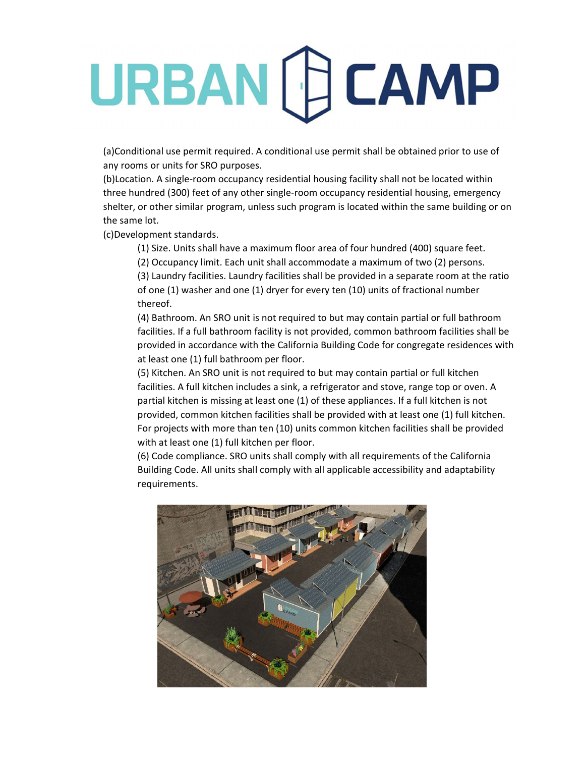# URBAN [F] CAMP

(a)Conditional use permit required. A conditional use permit shall be obtained prior to use of any rooms or units for SRO purposes.

(b)Location. A single‐room occupancy residential housing facility shall not be located within three hundred (300) feet of any other single‐room occupancy residential housing, emergency shelter, or other similar program, unless such program is located within the same building or on the same lot.

(c)Development standards.

- (1) Size. Units shall have a maximum floor area of four hundred (400) square feet.
- (2) Occupancy limit. Each unit shall accommodate a maximum of two (2) persons.

(3) Laundry facilities. Laundry facilities shall be provided in a separate room at the ratio of one (1) washer and one (1) dryer for every ten (10) units of fractional number thereof.

(4) Bathroom. An SRO unit is not required to but may contain partial or full bathroom facilities. If a full bathroom facility is not provided, common bathroom facilities shall be provided in accordance with the California Building Code for congregate residences with at least one (1) full bathroom per floor.

(5) Kitchen. An SRO unit is not required to but may contain partial or full kitchen facilities. A full kitchen includes a sink, a refrigerator and stove, range top or oven. A partial kitchen is missing at least one (1) of these appliances. If a full kitchen is not provided, common kitchen facilities shall be provided with at least one (1) full kitchen. For projects with more than ten (10) units common kitchen facilities shall be provided with at least one (1) full kitchen per floor.

(6) Code compliance. SRO units shall comply with all requirements of the California Building Code. All units shall comply with all applicable accessibility and adaptability requirements.